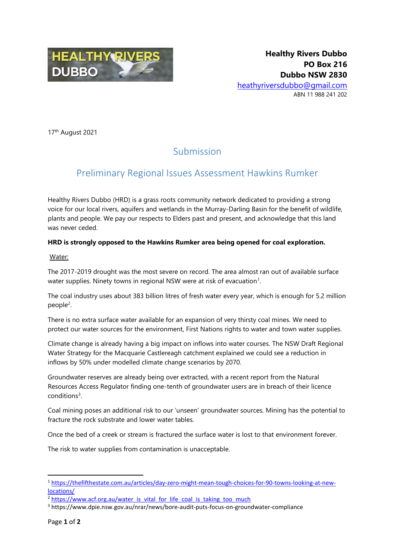

17th August 2021

# Submission

## Preliminary Regional Issues Assessment Hawkins Rumker

Healthy Rivers Dubbo (HRD) is a grass roots community network dedicated to providing a strong voice for our local rivers, aquifers and wetlands in the Murray-Darling Basin for the benefit of wildlife, plants and people. We pay our respects to Elders past and present, and acknowledge that this land was never ceded.

## **HRD is strongly opposed to the Hawkins Rumker area being opened for coal exploration.**

### Water:

The 2017-2019 drought was the most severe on record. The area almost ran out of available surface water supplies. Ninety towns in regional NSW were at risk of evacuation<sup>1</sup>.

The coal industry uses about 383 billion litres of fresh water every year, which is enough for 5.2 million people<sup>2</sup>.

There is no extra surface water available for an expansion of very thirsty coal mines. We need to protect our water sources for the environment, First Nations rights to water and town water supplies.

Climate change is already having a big impact on inflows into water courses. The NSW Draft Regional Water Strategy for the Macquarie Castlereagh catchment explained we could see a reduction in inflows by 50% under modelled climate change scenarios by 2070.

Groundwater reserves are already being over extracted, with a recent report from the Natural Resources Access Regulator finding one-tenth of groundwater users are in breach of their licence conditions<sup>3</sup>.

Coal mining poses an additional risk to our 'unseen' groundwater sources. Mining has the potential to fracture the rock substrate and lower water tables.

Once the bed of a creek or stream is fractured the surface water is lost to that environment forever.

The risk to water supplies from contamination is unacceptable.

**.** 

<sup>1</sup> [https://thefifthestate.com.au/articles/day-zero-might-mean-tough-choices-for-90-towns-looking-at-new](https://thefifthestate.com.au/articles/day-zero-might-mean-tough-choices-for-90-towns-looking-at-new-locations/)[locations/](https://thefifthestate.com.au/articles/day-zero-might-mean-tough-choices-for-90-towns-looking-at-new-locations/)

<sup>&</sup>lt;sup>2</sup> [https://www.acf.org.au/water\\_is\\_vital\\_for\\_life\\_coal\\_is\\_taking\\_too\\_much](https://www.acf.org.au/water_is_vital_for_life_coal_is_taking_too_much)

<sup>3</sup> https://www.dpie.nsw.gov.au/nrar/news/bore-audit-puts-focus-on-groundwater-compliance